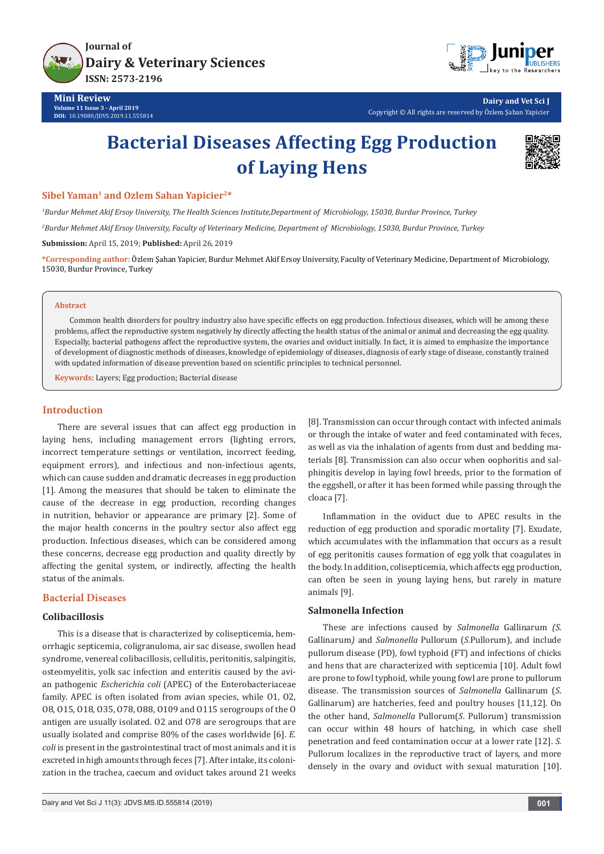



**Dairy and Vet Sci J** Copyright © All rights are reserved by Özlem Şahan Yapicier

# **Bacterial Diseases Affecting Egg Production of Laying Hens**



#### **Sibel Yaman1 and Ozlem Sahan Yapicier2\***

*1 Burdur Mehmet Akif Ersoy University, The Health Sciences Institute,Department of Microbiology, 15030, Burdur Province, Turkey*

*2 Burdur Mehmet Akif Ersoy University, Faculty of Veterinary Medicine, Department of Microbiology, 15030, Burdur Province, Turkey*

**Submission:** April 15, 2019; **Published:** April 26, 2019

**\*Corresponding author:** Özlem Şahan Yapicier, Burdur Mehmet Akif Ersoy University, Faculty of Veterinary Medicine, Department of Microbiology, 15030, Burdur Province, Turkey

#### **Abstract**

Common health disorders for poultry industry also have specific effects on egg production. Infectious diseases, which will be among these problems, affect the reproductive system negatively by directly affecting the health status of the animal or animal and decreasing the egg quality. Especially, bacterial pathogens affect the reproductive system, the ovaries and oviduct initially. In fact, it is aimed to emphasize the importance of development of diagnostic methods of diseases, knowledge of epidemiology of diseases, diagnosis of early stage of disease, constantly trained with updated information of disease prevention based on scientific principles to technical personnel.

**Keywords:** Layers; Egg production; Bacterial disease

#### **Introduction**

There are several issues that can affect egg production in laying hens, including management errors (lighting errors, incorrect temperature settings or ventilation, incorrect feeding, equipment errors), and infectious and non-infectious agents, which can cause sudden and dramatic decreases in egg production [1]. Among the measures that should be taken to eliminate the cause of the decrease in egg production, recording changes in nutrition, behavior or appearance are primary [2]. Some of the major health concerns in the poultry sector also affect egg production. Infectious diseases, which can be considered among these concerns, decrease egg production and quality directly by affecting the genital system, or indirectly, affecting the health status of the animals.

## **Bacterial Diseases**

## **Colibacillosis**

This is a disease that is characterized by colisepticemia, hemorrhagic septicemia, coligranuloma, air sac disease, swollen head syndrome, venereal colibacillosis, cellulitis, peritonitis, salpingitis, osteomyelitis, yolk sac infection and enteritis caused by the avian pathogenic *Escherichia coli* (APEC) of the Enterobacteriaceae family. APEC is often isolated from avian species, while O1, O2, O8, O15, O18, O35, O78, O88, O109 and O115 serogroups of the O antigen are usually isolated. O2 and O78 are serogroups that are usually isolated and comprise 80% of the cases worldwide [6]. *E. coli* is present in the gastrointestinal tract of most animals and it is excreted in high amounts through feces [7]. After intake, its colonization in the trachea, caecum and oviduct takes around 21 weeks

Dairy and Vet Sci J 11(3): JDVS.MS.ID.555814 (2019) **001**

[8]. Transmission can occur through contact with infected animals or through the intake of water and feed contaminated with feces, as well as via the inhalation of agents from dust and bedding materials [8]. Transmission can also occur when oophoritis and salphingitis develop in laying fowl breeds, prior to the formation of the eggshell, or after it has been formed while passing through the cloaca [7].

Inflammation in the oviduct due to APEC results in the reduction of egg production and sporadic mortality [7]. Exudate, which accumulates with the inflammation that occurs as a result of egg peritonitis causes formation of egg yolk that coagulates in the body. In addition, colisepticemia, which affects egg production, can often be seen in young laying hens, but rarely in mature animals [9].

#### **Salmonella Infection**

These are infections caused by *Salmonella* Gallinarum *(S.*  Gallinarum*)* and *Salmonella* Pullorum (*S.*Pullorum), and include pullorum disease (PD), fowl typhoid (FT) and infections of chicks and hens that are characterized with septicemia [10]. Adult fowl are prone to fowl typhoid, while young fowl are prone to pullorum disease. The transmission sources of *Salmonella* Gallinarum (*S*. Gallinarum) are hatcheries, feed and poultry houses [11,12]. On the other hand, *Salmonella* Pullorum(*S*. Pullorum) transmission can occur within 48 hours of hatching, in which case shell penetration and feed contamination occur at a lower rate [12]. *S.*  Pullorum localizes in the reproductive tract of layers, and more densely in the ovary and oviduct with sexual maturation [10].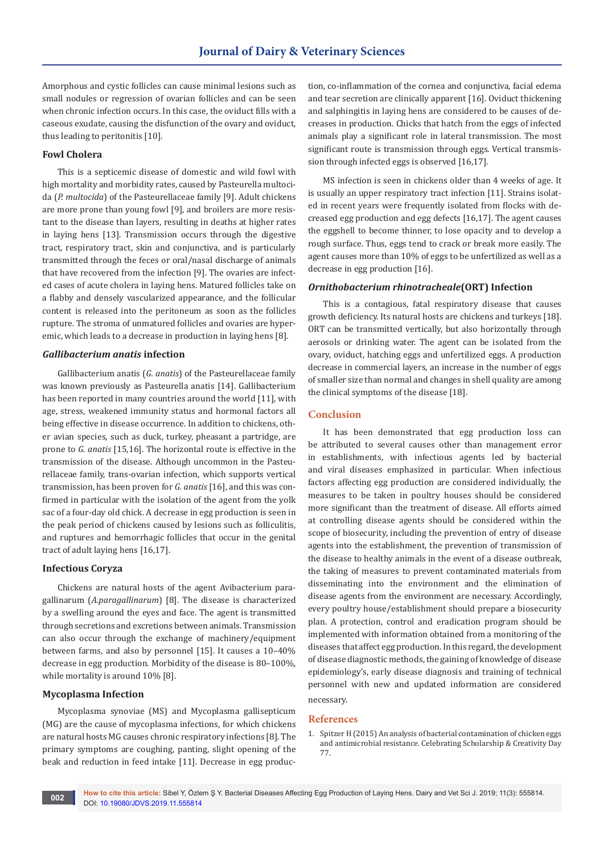Amorphous and cystic follicles can cause minimal lesions such as small nodules or regression of ovarian follicles and can be seen when chronic infection occurs. In this case, the oviduct fills with a caseous exudate, causing the disfunction of the ovary and oviduct, thus leading to peritonitis [10].

## **Fowl Cholera**

This is a septicemic disease of domestic and wild fowl with high mortality and morbidity rates, caused by Pasteurella multocida (*P. multocida*) of the Pasteurellaceae family [9]. Adult chickens are more prone than young fowl [9], and broilers are more resistant to the disease than layers, resulting in deaths at higher rates in laying hens [13]. Transmission occurs through the digestive tract, respiratory tract, skin and conjunctiva, and is particularly transmitted through the feces or oral/nasal discharge of animals that have recovered from the infection [9]. The ovaries are infected cases of acute cholera in laying hens. Matured follicles take on a flabby and densely vascularized appearance, and the follicular content is released into the peritoneum as soon as the follicles rupture. The stroma of unmatured follicles and ovaries are hyperemic, which leads to a decrease in production in laying hens [8].

#### *Gallibacterium anatis* **infection**

Gallibacterium anatis (*G. anatis*) of the Pasteurellaceae family was known previously as Pasteurella anatis [14]. Gallibacterium has been reported in many countries around the world [11], with age, stress, weakened immunity status and hormonal factors all being effective in disease occurrence. In addition to chickens, other avian species, such as duck, turkey, pheasant a partridge, are prone to *G. anatis* [15,16]. The horizontal route is effective in the transmission of the disease. Although uncommon in the Pasteurellaceae family, trans-ovarian infection, which supports vertical transmission, has been proven for *G. anatis* [16], and this was confirmed in particular with the isolation of the agent from the yolk sac of a four-day old chick. A decrease in egg production is seen in the peak period of chickens caused by lesions such as folliculitis, and ruptures and hemorrhagic follicles that occur in the genital tract of adult laying hens [16,17].

#### **Infectious Coryza**

Chickens are natural hosts of the agent Avibacterium paragallinarum (*A.paragallinarum*) [8]. The disease is characterized by a swelling around the eyes and face. The agent is transmitted through secretions and excretions between animals. Transmission can also occur through the exchange of machinery/equipment between farms, and also by personnel [15]. It causes a 10–40% decrease in egg production. Morbidity of the disease is 80–100%, while mortality is around 10% [8].

### **Mycoplasma Infection**

Mycoplasma synoviae (MS) and Mycoplasma gallisepticum (MG) are the cause of mycoplasma infections, for which chickens are natural hosts MG causes chronic respiratory infections [8]. The primary symptoms are coughing, panting, slight opening of the beak and reduction in feed intake [11]. Decrease in egg production, co-inflammation of the cornea and conjunctiva, facial edema and tear secretion are clinically apparent [16]. Oviduct thickening and salphingitis in laying hens are considered to be causes of decreases in production. Chicks that hatch from the eggs of infected animals play a significant role in lateral transmission. The most significant route is transmission through eggs. Vertical transmission through infected eggs is observed [16,17].

MS infection is seen in chickens older than 4 weeks of age. It is usually an upper respiratory tract infection [11]. Strains isolated in recent years were frequently isolated from flocks with decreased egg production and egg defects [16,17]. The agent causes the eggshell to become thinner, to lose opacity and to develop a rough surface. Thus, eggs tend to crack or break more easily. The agent causes more than 10% of eggs to be unfertilized as well as a decrease in egg production [16].

#### *Ornithobacterium rhinotracheale***(ORT) Infection**

This is a contagious, fatal respiratory disease that causes growth deficiency. Its natural hosts are chickens and turkeys [18]. ORT can be transmitted vertically, but also horizontally through aerosols or drinking water. The agent can be isolated from the ovary, oviduct, hatching eggs and unfertilized eggs. A production decrease in commercial layers, an increase in the number of eggs of smaller size than normal and changes in shell quality are among the clinical symptoms of the disease [18].

#### **Conclusion**

It has been demonstrated that egg production loss can be attributed to several causes other than management error in establishments, with infectious agents led by bacterial and viral diseases emphasized in particular. When infectious factors affecting egg production are considered individually, the measures to be taken in poultry houses should be considered more significant than the treatment of disease. All efforts aimed at controlling disease agents should be considered within the scope of biosecurity, including the prevention of entry of disease agents into the establishment, the prevention of transmission of the disease to healthy animals in the event of a disease outbreak, the taking of measures to prevent contaminated materials from disseminating into the environment and the elimination of disease agents from the environment are necessary. Accordingly, every poultry house/establishment should prepare a biosecurity plan. A protection, control and eradication program should be implemented with information obtained from a monitoring of the diseases that affect egg production. In this regard, the development of disease diagnostic methods, the gaining of knowledge of disease epidemiology's, early disease diagnosis and training of technical personnel with new and updated information are considered necessary.

#### **References**

1. Spitzer H (2015) An analysis of bacterial contamination of chicken eggs and antimicrobial resistance. Celebrating Scholarship & Creativity Day 77.